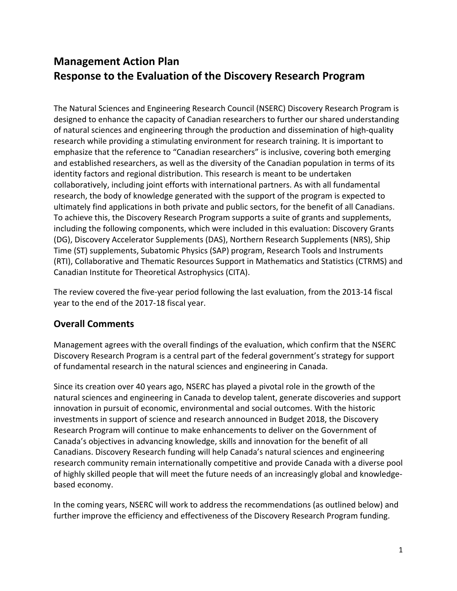# **Management Action Plan Response to the Evaluation of the Discovery Research Program**

The Natural Sciences and Engineering Research Council (NSERC) Discovery Research Program is designed to enhance the capacity of Canadian researchers to further our shared understanding of natural sciences and engineering through the production and dissemination of high‐quality research while providing a stimulating environment for research training. It is important to emphasize that the reference to "Canadian researchers" is inclusive, covering both emerging and established researchers, as well as the diversity of the Canadian population in terms of its identity factors and regional distribution. This research is meant to be undertaken collaboratively, including joint efforts with international partners. As with all fundamental research, the body of knowledge generated with the support of the program is expected to ultimately find applications in both private and public sectors, for the benefit of all Canadians. To achieve this, the Discovery Research Program supports a suite of grants and supplements, including the following components, which were included in this evaluation: Discovery Grants (DG), Discovery Accelerator Supplements (DAS), Northern Research Supplements (NRS), Ship Time (ST) supplements, Subatomic Physics (SAP) program, Research Tools and Instruments (RTI), Collaborative and Thematic Resources Support in Mathematics and Statistics (CTRMS) and Canadian Institute for Theoretical Astrophysics (CITA).

The review covered the five-year period following the last evaluation, from the 2013-14 fiscal year to the end of the 2017‐18 fiscal year.

# **Overall Comments**

Management agrees with the overall findings of the evaluation, which confirm that the NSERC Discovery Research Program is a central part of the federal government's strategy for support of fundamental research in the natural sciences and engineering in Canada.

Since its creation over 40 years ago, NSERC has played a pivotal role in the growth of the natural sciences and engineering in Canada to develop talent, generate discoveries and support innovation in pursuit of economic, environmental and social outcomes. With the historic investments in support of science and research announced in Budget 2018, the Discovery Research Program will continue to make enhancements to deliver on the Government of Canada's objectives in advancing knowledge, skills and innovation for the benefit of all Canadians. Discovery Research funding will help Canada's natural sciences and engineering research community remain internationally competitive and provide Canada with a diverse pool of highly skilled people that will meet the future needs of an increasingly global and knowledge‐ based economy.

In the coming years, NSERC will work to address the recommendations (as outlined below) and further improve the efficiency and effectiveness of the Discovery Research Program funding.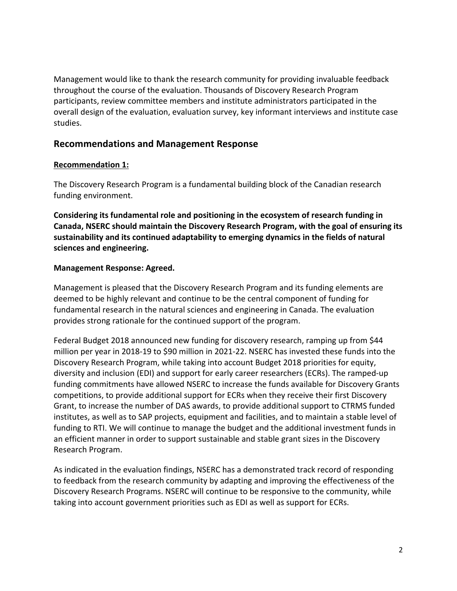Management would like to thank the research community for providing invaluable feedback throughout the course of the evaluation. Thousands of Discovery Research Program participants, review committee members and institute administrators participated in the overall design of the evaluation, evaluation survey, key informant interviews and institute case studies.

# **Recommendations and Management Response**

#### **Recommendation 1:**

The Discovery Research Program is a fundamental building block of the Canadian research funding environment.

**Considering its fundamental role and positioning in the ecosystem of research funding in Canada, NSERC should maintain the Discovery Research Program, with the goal of ensuring its sustainability and its continued adaptability to emerging dynamics in the fields of natural sciences and engineering.** 

#### **Management Response: Agreed.**

Management is pleased that the Discovery Research Program and its funding elements are deemed to be highly relevant and continue to be the central component of funding for fundamental research in the natural sciences and engineering in Canada. The evaluation provides strong rationale for the continued support of the program.

Federal Budget 2018 announced new funding for discovery research, ramping up from \$44 million per year in 2018‐19 to \$90 million in 2021‐22. NSERC has invested these funds into the Discovery Research Program, while taking into account Budget 2018 priorities for equity, diversity and inclusion (EDI) and support for early career researchers (ECRs). The ramped‐up funding commitments have allowed NSERC to increase the funds available for Discovery Grants competitions, to provide additional support for ECRs when they receive their first Discovery Grant, to increase the number of DAS awards, to provide additional support to CTRMS funded institutes, as well as to SAP projects, equipment and facilities, and to maintain a stable level of funding to RTI. We will continue to manage the budget and the additional investment funds in an efficient manner in order to support sustainable and stable grant sizes in the Discovery Research Program.

As indicated in the evaluation findings, NSERC has a demonstrated track record of responding to feedback from the research community by adapting and improving the effectiveness of the Discovery Research Programs. NSERC will continue to be responsive to the community, while taking into account government priorities such as EDI as well as support for ECRs.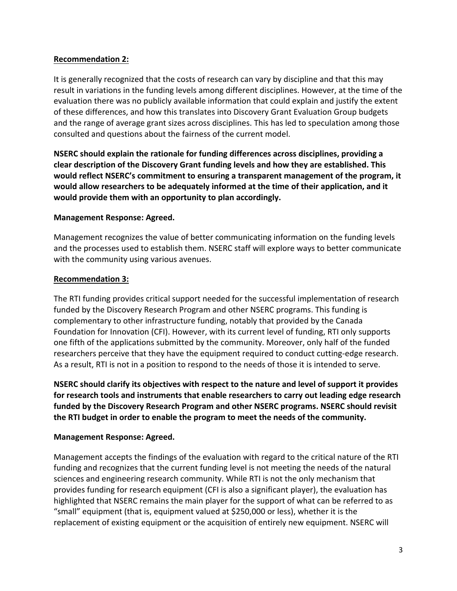### **Recommendation 2:**

It is generally recognized that the costs of research can vary by discipline and that this may result in variations in the funding levels among different disciplines. However, at the time of the evaluation there was no publicly available information that could explain and justify the extent of these differences, and how this translates into Discovery Grant Evaluation Group budgets and the range of average grant sizes across disciplines. This has led to speculation among those consulted and questions about the fairness of the current model.

**NSERC should explain the rationale for funding differences across disciplines, providing a clear description of the Discovery Grant funding levels and how they are established. This would reflect NSERC's commitment to ensuring a transparent management of the program, it would allow researchers to be adequately informed at the time of their application, and it would provide them with an opportunity to plan accordingly.**

### **Management Response: Agreed.**

Management recognizes the value of better communicating information on the funding levels and the processes used to establish them. NSERC staff will explore ways to better communicate with the community using various avenues.

#### **Recommendation 3:**

The RTI funding provides critical support needed for the successful implementation of research funded by the Discovery Research Program and other NSERC programs. This funding is complementary to other infrastructure funding, notably that provided by the Canada Foundation for Innovation (CFI). However, with its current level of funding, RTI only supports one fifth of the applications submitted by the community. Moreover, only half of the funded researchers perceive that they have the equipment required to conduct cutting‐edge research. As a result, RTI is not in a position to respond to the needs of those it is intended to serve.

**NSERC should clarify its objectives with respect to the nature and level of support it provides for research tools and instruments that enable researchers to carry out leading edge research funded by the Discovery Research Program and other NSERC programs. NSERC should revisit the RTI budget in order to enable the program to meet the needs of the community.**

### **Management Response: Agreed.**

Management accepts the findings of the evaluation with regard to the critical nature of the RTI funding and recognizes that the current funding level is not meeting the needs of the natural sciences and engineering research community. While RTI is not the only mechanism that provides funding for research equipment (CFI is also a significant player), the evaluation has highlighted that NSERC remains the main player for the support of what can be referred to as "small" equipment (that is, equipment valued at \$250,000 or less), whether it is the replacement of existing equipment or the acquisition of entirely new equipment. NSERC will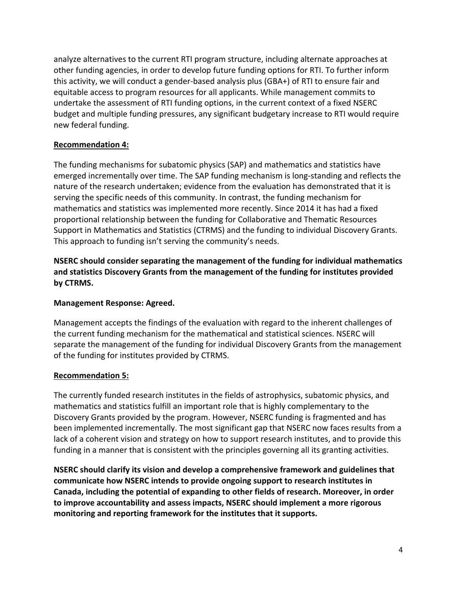analyze alternatives to the current RTI program structure, including alternate approaches at other funding agencies, in order to develop future funding options for RTI. To further inform this activity, we will conduct a gender‐based analysis plus (GBA+) of RTI to ensure fair and equitable access to program resources for all applicants. While management commits to undertake the assessment of RTI funding options, in the current context of a fixed NSERC budget and multiple funding pressures, any significant budgetary increase to RTI would require new federal funding.

## **Recommendation 4:**

The funding mechanisms for subatomic physics (SAP) and mathematics and statistics have emerged incrementally over time. The SAP funding mechanism is long‐standing and reflects the nature of the research undertaken; evidence from the evaluation has demonstrated that it is serving the specific needs of this community. In contrast, the funding mechanism for mathematics and statistics was implemented more recently. Since 2014 it has had a fixed proportional relationship between the funding for Collaborative and Thematic Resources Support in Mathematics and Statistics (CTRMS) and the funding to individual Discovery Grants. This approach to funding isn't serving the community's needs.

**NSERC should consider separating the management of the funding for individual mathematics and statistics Discovery Grants from the management of the funding for institutes provided by CTRMS.**

### **Management Response: Agreed.**

Management accepts the findings of the evaluation with regard to the inherent challenges of the current funding mechanism for the mathematical and statistical sciences. NSERC will separate the management of the funding for individual Discovery Grants from the management of the funding for institutes provided by CTRMS.

# **Recommendation 5:**

The currently funded research institutes in the fields of astrophysics, subatomic physics, and mathematics and statistics fulfill an important role that is highly complementary to the Discovery Grants provided by the program. However, NSERC funding is fragmented and has been implemented incrementally. The most significant gap that NSERC now faces results from a lack of a coherent vision and strategy on how to support research institutes, and to provide this funding in a manner that is consistent with the principles governing all its granting activities.

**NSERC should clarify its vision and develop a comprehensive framework and guidelines that communicate how NSERC intends to provide ongoing support to research institutes in Canada, including the potential of expanding to other fields of research. Moreover, in order to improve accountability and assess impacts, NSERC should implement a more rigorous monitoring and reporting framework for the institutes that it supports.**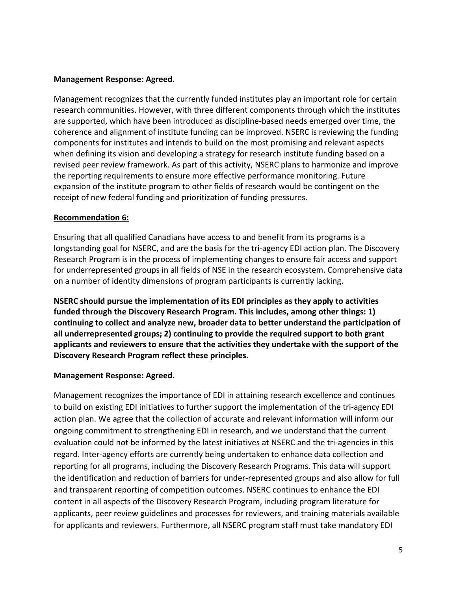#### **Management Response: Agreed.**

Management recognizes that the currently funded institutes play an important role for certain research communities. However, with three different components through which the institutes are supported, which have been introduced as discipline‐based needs emerged over time, the coherence and alignment of institute funding can be improved. NSERC is reviewing the funding components for institutes and intends to build on the most promising and relevant aspects when defining its vision and developing a strategy for research institute funding based on a revised peer review framework. As part of this activity, NSERC plans to harmonize and improve the reporting requirements to ensure more effective performance monitoring. Future expansion of the institute program to other fields of research would be contingent on the receipt of new federal funding and prioritization of funding pressures.

#### **Recommendation 6:**

Ensuring that all qualified Canadians have access to and benefit from its programs is a longstanding goal for NSERC, and are the basis for the tri‐agency EDI action plan. The Discovery Research Program is in the process of implementing changes to ensure fair access and support for underrepresented groups in all fields of NSE in the research ecosystem. Comprehensive data on a number of identity dimensions of program participants is currently lacking.

**NSERC should pursue the implementation of its EDI principles as they apply to activities funded through the Discovery Research Program. This includes, among other things: 1) continuing to collect and analyze new, broader data to better understand the participation of all underrepresented groups; 2) continuing to provide the required support to both grant applicants and reviewers to ensure that the activities they undertake with the support of the Discovery Research Program reflect these principles.**

### **Management Response: Agreed.**

Management recognizes the importance of EDI in attaining research excellence and continues to build on existing EDI initiatives to further support the implementation of the tri‐agency EDI action plan. We agree that the collection of accurate and relevant information will inform our ongoing commitment to strengthening EDI in research, and we understand that the current evaluation could not be informed by the latest initiatives at NSERC and the tri-agencies in this regard. Inter‐agency efforts are currently being undertaken to enhance data collection and reporting for all programs, including the Discovery Research Programs. This data will support the identification and reduction of barriers for under‐represented groups and also allow for full and transparent reporting of competition outcomes. NSERC continues to enhance the EDI content in all aspects of the Discovery Research Program, including program literature for applicants, peer review guidelines and processes for reviewers, and training materials available for applicants and reviewers. Furthermore, all NSERC program staff must take mandatory EDI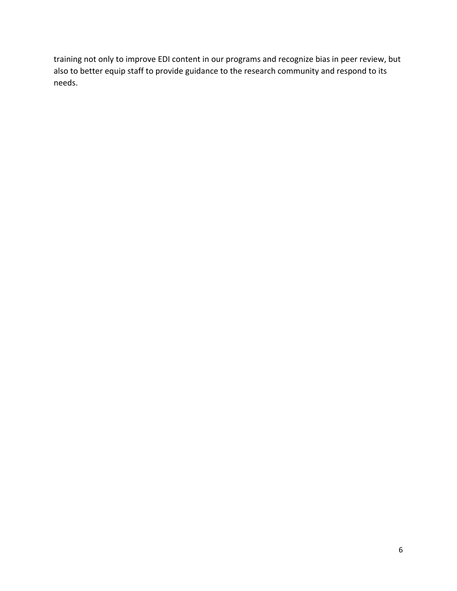training not only to improve EDI content in our programs and recognize bias in peer review, but also to better equip staff to provide guidance to the research community and respond to its needs.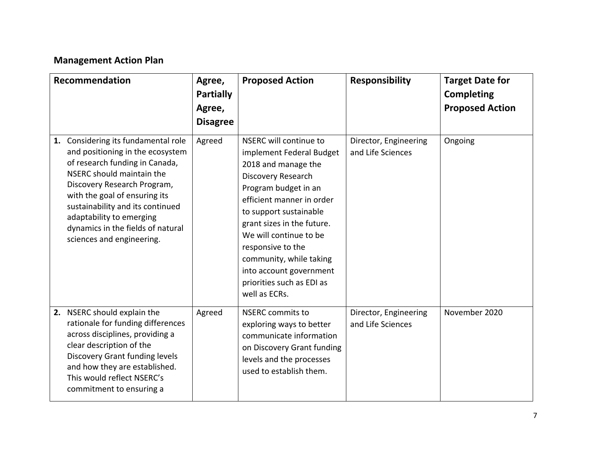# **Management Action Plan**

| Recommendation                                                                                                                                                                                                                                                                                                                           | Agree,<br><b>Partially</b><br>Agree,<br><b>Disagree</b> | <b>Proposed Action</b>                                                                                                                                                                                                                                                                                                                                          | <b>Responsibility</b>                      | <b>Target Date for</b><br><b>Completing</b><br><b>Proposed Action</b> |
|------------------------------------------------------------------------------------------------------------------------------------------------------------------------------------------------------------------------------------------------------------------------------------------------------------------------------------------|---------------------------------------------------------|-----------------------------------------------------------------------------------------------------------------------------------------------------------------------------------------------------------------------------------------------------------------------------------------------------------------------------------------------------------------|--------------------------------------------|-----------------------------------------------------------------------|
| 1. Considering its fundamental role<br>and positioning in the ecosystem<br>of research funding in Canada,<br>NSERC should maintain the<br>Discovery Research Program,<br>with the goal of ensuring its<br>sustainability and its continued<br>adaptability to emerging<br>dynamics in the fields of natural<br>sciences and engineering. | Agreed                                                  | NSERC will continue to<br>implement Federal Budget<br>2018 and manage the<br>Discovery Research<br>Program budget in an<br>efficient manner in order<br>to support sustainable<br>grant sizes in the future.<br>We will continue to be<br>responsive to the<br>community, while taking<br>into account government<br>priorities such as EDI as<br>well as ECRs. | Director, Engineering<br>and Life Sciences | Ongoing                                                               |
| 2. NSERC should explain the<br>rationale for funding differences<br>across disciplines, providing a<br>clear description of the<br><b>Discovery Grant funding levels</b><br>and how they are established.<br>This would reflect NSERC's<br>commitment to ensuring a                                                                      | Agreed                                                  | <b>NSERC</b> commits to<br>exploring ways to better<br>communicate information<br>on Discovery Grant funding<br>levels and the processes<br>used to establish them.                                                                                                                                                                                             | Director, Engineering<br>and Life Sciences | November 2020                                                         |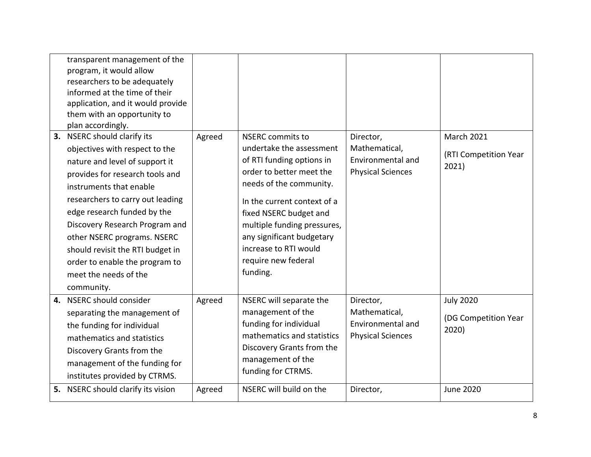|    | transparent management of the<br>program, it would allow<br>researchers to be adequately<br>informed at the time of their<br>application, and it would provide<br>them with an opportunity to<br>plan accordingly. |        |                                                                                  |                                                 |                                            |
|----|--------------------------------------------------------------------------------------------------------------------------------------------------------------------------------------------------------------------|--------|----------------------------------------------------------------------------------|-------------------------------------------------|--------------------------------------------|
|    | 3. NSERC should clarify its<br>objectives with respect to the                                                                                                                                                      | Agreed | <b>NSERC</b> commits to<br>undertake the assessment<br>of RTI funding options in | Director,<br>Mathematical,<br>Environmental and | <b>March 2021</b><br>(RTI Competition Year |
|    | nature and level of support it<br>provides for research tools and                                                                                                                                                  |        | order to better meet the<br>needs of the community.                              | <b>Physical Sciences</b>                        | 2021)                                      |
|    | instruments that enable<br>researchers to carry out leading                                                                                                                                                        |        | In the current context of a                                                      |                                                 |                                            |
|    | edge research funded by the                                                                                                                                                                                        |        | fixed NSERC budget and                                                           |                                                 |                                            |
|    | Discovery Research Program and<br>other NSERC programs. NSERC                                                                                                                                                      |        | multiple funding pressures,<br>any significant budgetary                         |                                                 |                                            |
|    | should revisit the RTI budget in                                                                                                                                                                                   |        | increase to RTI would                                                            |                                                 |                                            |
|    | order to enable the program to                                                                                                                                                                                     |        | require new federal                                                              |                                                 |                                            |
|    | meet the needs of the                                                                                                                                                                                              |        | funding.                                                                         |                                                 |                                            |
|    | community.                                                                                                                                                                                                         |        |                                                                                  |                                                 |                                            |
| 4. | NSERC should consider                                                                                                                                                                                              | Agreed | NSERC will separate the                                                          | Director,                                       | <b>July 2020</b>                           |
|    | separating the management of                                                                                                                                                                                       |        | management of the                                                                | Mathematical,                                   | (DG Competition Year                       |
|    | the funding for individual                                                                                                                                                                                         |        | funding for individual                                                           | Environmental and                               | 2020)                                      |
|    | mathematics and statistics                                                                                                                                                                                         |        | mathematics and statistics                                                       | <b>Physical Sciences</b>                        |                                            |
|    | Discovery Grants from the                                                                                                                                                                                          |        | Discovery Grants from the                                                        |                                                 |                                            |
|    | management of the funding for                                                                                                                                                                                      |        | management of the                                                                |                                                 |                                            |
|    | institutes provided by CTRMS.                                                                                                                                                                                      |        | funding for CTRMS.                                                               |                                                 |                                            |
|    | 5. NSERC should clarify its vision                                                                                                                                                                                 | Agreed | NSERC will build on the                                                          | Director,                                       | <b>June 2020</b>                           |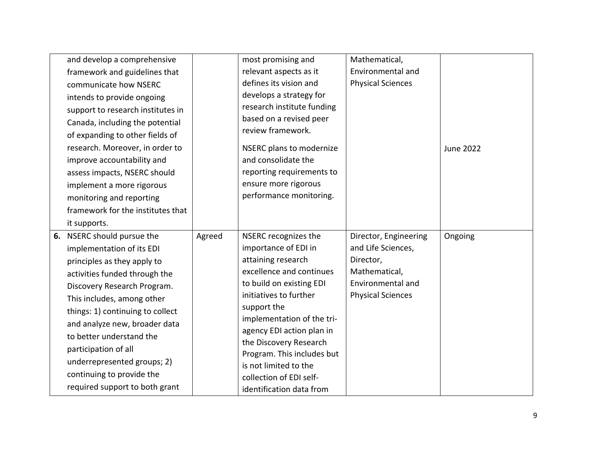| and develop a comprehensive       |        | most promising and                                  | Mathematical,            |                  |
|-----------------------------------|--------|-----------------------------------------------------|--------------------------|------------------|
| framework and guidelines that     |        | relevant aspects as it                              | Environmental and        |                  |
| communicate how NSERC             |        | defines its vision and                              | <b>Physical Sciences</b> |                  |
| intends to provide ongoing        |        | develops a strategy for                             |                          |                  |
| support to research institutes in |        | research institute funding                          |                          |                  |
| Canada, including the potential   |        | based on a revised peer                             |                          |                  |
| of expanding to other fields of   |        | review framework.                                   |                          |                  |
| research. Moreover, in order to   |        | NSERC plans to modernize                            |                          | <b>June 2022</b> |
| improve accountability and        |        | and consolidate the                                 |                          |                  |
| assess impacts, NSERC should      |        | reporting requirements to                           |                          |                  |
| implement a more rigorous         |        | ensure more rigorous                                |                          |                  |
| monitoring and reporting          |        | performance monitoring.                             |                          |                  |
| framework for the institutes that |        |                                                     |                          |                  |
| it supports.                      |        |                                                     |                          |                  |
| 6. NSERC should pursue the        | Agreed | NSERC recognizes the                                | Director, Engineering    | Ongoing          |
| implementation of its EDI         |        | importance of EDI in                                | and Life Sciences,       |                  |
| principles as they apply to       |        | attaining research                                  | Director,                |                  |
| activities funded through the     |        | excellence and continues                            | Mathematical,            |                  |
| Discovery Research Program.       |        | to build on existing EDI                            | Environmental and        |                  |
| This includes, among other        |        | initiatives to further                              | <b>Physical Sciences</b> |                  |
| things: 1) continuing to collect  |        | support the                                         |                          |                  |
| and analyze new, broader data     |        | implementation of the tri-                          |                          |                  |
| to better understand the          |        | agency EDI action plan in<br>the Discovery Research |                          |                  |
| participation of all              |        | Program. This includes but                          |                          |                  |
| underrepresented groups; 2)       |        | is not limited to the                               |                          |                  |
| continuing to provide the         |        | collection of EDI self-                             |                          |                  |
| required support to both grant    |        | identification data from                            |                          |                  |